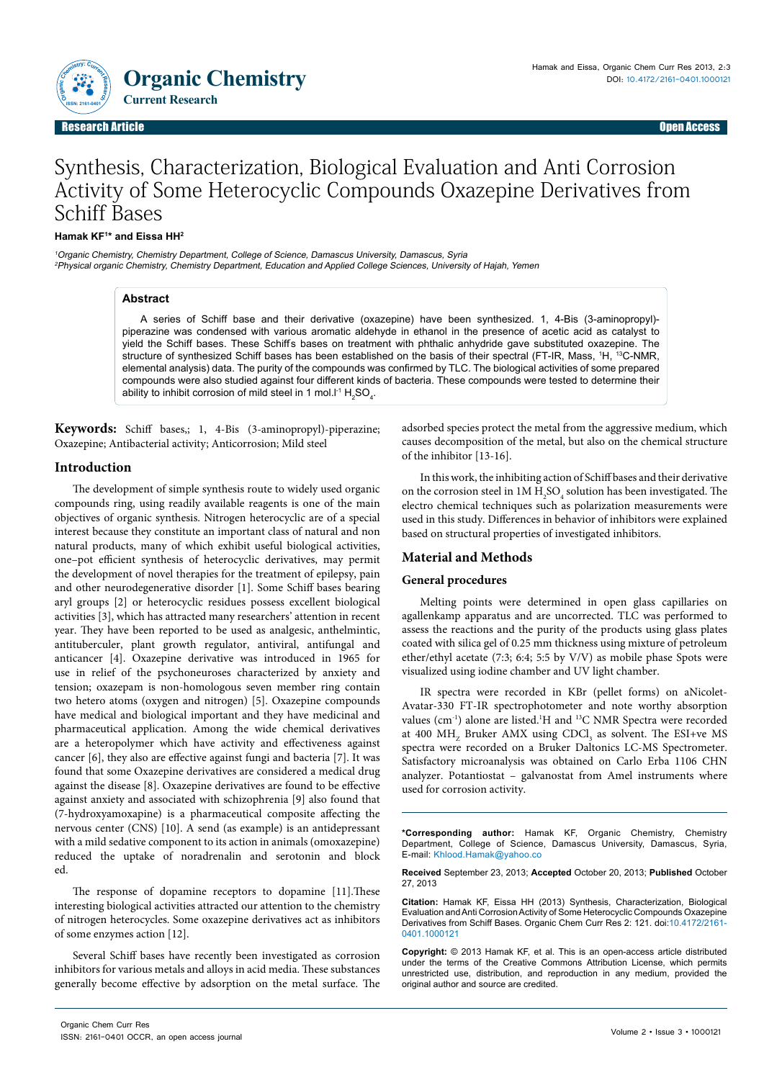

Research Article Open Access **Contract Contract Contract Contract Contract Contract Contract Contract Contract Contract Contract Contract Contract Contract Contract Contract Contract Contract Contract Contract Contract Con** Research Article Open Access

# Synthesis, Characterization, Biological Evaluation and Anti Corrosion Activity of Some Heterocyclic Compounds Oxazepine Derivatives from Schiff Bases

## **Hamak KF1 \* and Eissa HH2**

<sup>1</sup>Organic Chemistry, Chemistry Department, College of Science, Damascus University, Damascus, Syria <sup>2</sup>Physical organic Chemistry, Chemistry Department, Education and Applied College Sciences, University of Hajah, Yemen

## **Abstract**

A series of Schiff base and their derivative (oxazepine) have been synthesized. 1, 4-Bis (3-aminopropyl) piperazine was condensed with various aromatic aldehyde in ethanol in the presence of acetic acid as catalyst to yield the Schiff bases. These Schiffs bases on treatment with phthalic anhydride gave substituted oxazepine. The structure of synthesized Schiff bases has been established on the basis of their spectral (FT-IR, Mass, 1H, 13C-NMR, elemental analysis) data. The purity of the compounds was confirmed by TLC. The biological activities of some prepared compounds were also studied against four different kinds of bacteria. These compounds were tested to determine their ability to inhibit corrosion of mild steel in 1 mol.I<sup>-1</sup>  $\rm{H}_{2}SO_{4}$ .

**Keywords:** Schiff bases,; 1, 4-Bis (3-aminopropyl)-piperazine; Oxazepine; Antibacterial activity; Anticorrosion; Mild steel

## **Introduction**

The development of simple synthesis route to widely used organic compounds ring, using readily available reagents is one of the main objectives of organic synthesis. Nitrogen heterocyclic are of a special interest because they constitute an important class of natural and non natural products, many of which exhibit useful biological activities, one–pot efficient synthesis of heterocyclic derivatives, may permit the development of novel therapies for the treatment of epilepsy, pain and other neurodegenerative disorder [1]. Some Schiff bases bearing aryl groups [2] or heterocyclic residues possess excellent biological activities [3], which has attracted many researchers' attention in recent year. They have been reported to be used as analgesic, anthelmintic, antituberculer, plant growth regulator, antiviral, antifungal and anticancer [4]. Oxazepine derivative was introduced in 1965 for use in relief of the psychoneuroses characterized by anxiety and tension; oxazepam is non-homologous seven member ring contain two hetero atoms (oxygen and nitrogen) [5]. Oxazepine compounds have medical and biological important and they have medicinal and pharmaceutical application. Among the wide chemical derivatives are a heteropolymer which have activity and effectiveness against cancer [6], they also are effective against fungi and bacteria [7]. It was found that some Oxazepine derivatives are considered a medical drug against the disease [8]. Oxazepine derivatives are found to be effective against anxiety and associated with schizophrenia [9] also found that (7-hydroxyamoxapine) is a pharmaceutical composite affecting the nervous center (CNS) [10]. A send (as example) is an antidepressant with a mild sedative component to its action in animals (omoxazepine) reduced the uptake of noradrenalin and serotonin and block ed.

The response of dopamine receptors to dopamine [11].These interesting biological activities attracted our attention to the chemistry of nitrogen heterocycles. Some oxazepine derivatives act as inhibitors of some enzymes action [12].

Several Schiff bases have recently been investigated as corrosion inhibitors for various metals and alloys in acid media. These substances generally become effective by adsorption on the metal surface. The

adsorbed species protect the metal from the aggressive medium, which causes decomposition of the metal, but also on the chemical structure of the inhibitor [13-16].

In this work, the inhibiting action of Schiff bases and their derivative on the corrosion steel in  $1\mathrm{M}\, \mathrm{H}_2\mathrm{SO}_4$  solution has been investigated. The electro chemical techniques such as polarization measurements were used in this study. Differences in behavior of inhibitors were explained based on structural properties of investigated inhibitors.

## **Material and Methods**

## **General procedures**

Melting points were determined in open glass capillaries on agallenkamp apparatus and are uncorrected. TLC was performed to assess the reactions and the purity of the products using glass plates coated with silica gel of 0.25 mm thickness using mixture of petroleum ether/ethyl acetate (7:3; 6:4; 5:5 by V/V) as mobile phase Spots were visualized using iodine chamber and UV light chamber.

IR spectra were recorded in KBr (pellet forms) on aNicolet-Avatar-330 FT-IR spectrophotometer and note worthy absorption values (cm<sup>-1</sup>) alone are listed.<sup>1</sup>H and <sup>13</sup>C NMR Spectra were recorded at 400  $\text{MH}_{\text{z}}$  Bruker AMX using CDCl<sub>3</sub> as solvent. The ESI+ve MS spectra were recorded on a Bruker Daltonics LC-MS Spectrometer. Satisfactory microanalysis was obtained on Carlo Erba 1106 CHN analyzer. Potantiostat – galvanostat from Amel instruments where used for corrosion activity.

**\*Corresponding author:** Hamak KF, Organic Chemistry, Chemistry Department, College of Science, Damascus University, Damascus, Syria, E-mail: Khlood.Hamak@yahoo.co

**Received** September 23, 2013; **Accepted** October 20, 2013; **Published** October 27, 2013

**Citation:** Hamak KF, Eissa HH (2013) Synthesis, Characterization, Biological Evaluation and Anti Corrosion Activity of Some Heterocyclic Compounds Oxazepine Derivatives from Schiff Bases. Organic Chem Curr Res 2: 121. doi:10.4172/2161- 0401.1000121

**Copyright:** © 2013 Hamak KF, et al. This is an open-access article distributed under the terms of the Creative Commons Attribution License, which permits unrestricted use, distribution, and reproduction in any medium, provided the original author and source are credited.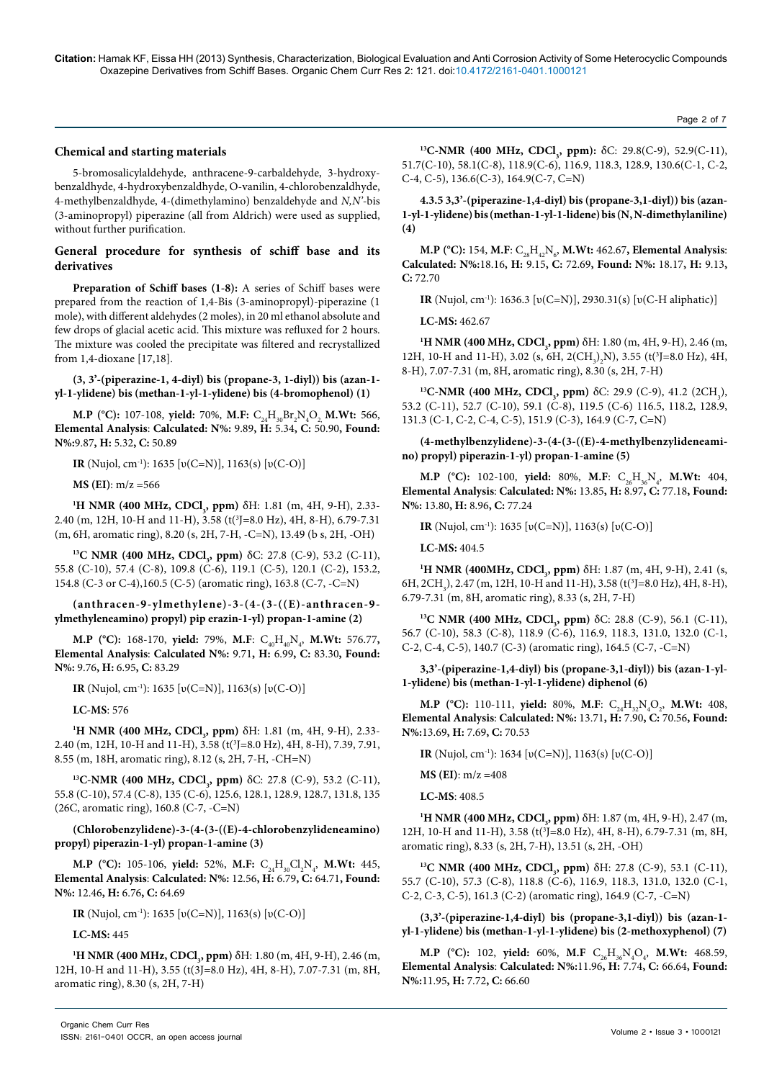## **Chemical and starting materials**

5-bromosalicylaldehyde, anthracene-9-carbaldehyde, 3-hydroxybenzaldhyde, 4-hydroxybenzaldhyde, O-vanilin, 4-chlorobenzaldhyde, 4-methylbenzaldhyde, 4-(dimethylamino) benzaldehyde and *N,N'*-bis (3-aminopropyl) piperazine (all from Aldrich) were used as supplied, without further purification.

## **General procedure for synthesis of schiff base and its derivatives**

**Preparation of Schiff bases (1-8):** A series of Schiff bases were prepared from the reaction of 1,4-Bis (3-aminopropyl)-piperazine (1 mole), with different aldehydes (2 moles), in 20 ml ethanol absolute and few drops of glacial acetic acid. This mixture was refluxed for 2 hours. The mixture was cooled the precipitate was filtered and recrystallized from 1,4-dioxane [17,18].

#### **(3, 3'-(piperazine-1, 4-diyl) bis (propane-3, 1-diyl)) bis (azan-1 yl-1-ylidene) bis (methan-1-yl-1-ylidene) bis (4-bromophenol) (1)**

**M.P** (°C): 107-108, **yield:** 70%, M.F:  $C_{24}H_{30}Br_2N_4O_2$ , M.Wt: 566, **Elemental Analysis**: **Calculated: N%:** 9.89**, H:** 5.34**, C:** 50.90**, Found: N%:**9.87**, H:** 5.32**, C:** 50.89

**IR** (Nujol, cm-1): 1635 [υ(C=N)], 1163(s) [υ(C-O)]

**MS (EI)**: m/z =566

<sup>1</sup>**H** NMR (400 MHz, CDCl<sub>3</sub>, ppm) δH: 1.81 (m, 4H, 9-H), 2.33-2.40 (m, 12H, 10-H and 11-H), 3.58 (t(<sup>3</sup>J=8.0 Hz), 4H, 8-H), 6.79-7.31 (m, 6H, aromatic ring), 8.20 (s, 2H, 7-H, -C=N), 13.49 (b s, 2H, -OH)

**<sup>13</sup>C NMR (400 MHz, CDCl<sub>3</sub>, ppm) δC: 27.8 (C-9), 53.2 (C-11),** 55.8 (C-10), 57.4 (C-8), 109.8 (C-6), 119.1 (C-5), 120.1 (C-2), 153.2, 154.8 (C-3 or C-4),160.5 (C-5) (aromatic ring), 163.8 (C-7, -C=N)

## **(anthracen-9-ylmethylene)-3-(4-(3-((E)-anthracen-9 ylmethyleneamino) propyl) pip erazin-1-yl) propan-1-amine (2)**

**M.P** (°C): 168-170, **yield:** 79%, M.F:  $C_{40}H_{40}N_{4}$ , M.Wt: 576.77, **Elemental Analysis**: **Calculated N%:** 9.71**, H:** 6.99**, C:** 83.30**, Found: N%:** 9.76**, H:** 6.95**, C:** 83.29

**IR** (Nujol, cm-1): 1635 [υ(C=N)], 1163(s) [υ(C-O)]

**LC-MS**: 576

<sup>1</sup>**H** NMR (400 MHz, CDCl<sub>3</sub>, ppm) δH: 1.81 (m, 4H, 9-H), 2.33-2.40 (m, 12H, 10-H and 11-H), 3.58 (t(3 J=8.0 Hz), 4H, 8-H), 7.39, 7.91, 8.55 (m, 18H, aromatic ring), 8.12 (s, 2H, 7-H, -CH=N)

**13C-NMR (400 MHz, CDCl<sub>3</sub>, ppm) δC: 27.8 (C-9), 53.2 (C-11),** 55.8 (C-10), 57.4 (C-8), 135 (C-6), 125.6, 128.1, 128.9, 128.7, 131.8, 135 (26C, aromatic ring), 160.8 (C-7, -C=N)

## **(Chlorobenzylidene)-3-(4-(3-((E)-4-chlorobenzylideneamino) propyl) piperazin-1-yl) propan-1-amine (3)**

**M.P** (°C): 105-106, **yield**: 52%, M.F:  $C_{24}H_{30}Cl_2N_4$ , M.Wt: 445, **Elemental Analysis**: **Calculated: N%:** 12.56**, H:** 6.79**, C:** 64.71**, Found: N%:** 12.46**, H:** 6.76**, C:** 64.69

#### **IR** (Nujol, cm-1): 1635 [υ(C=N)], 1163(s) [υ(C-O)]

#### **LC-MS:** 445

**<sup>1</sup>H NMR (400 MHz, CDCl<sub>3</sub>, ppm)** δH: 1.80 (m, 4H, 9-H), 2.46 (m, 12H, 10-H and 11-H), 3.55 (t(3J=8.0 Hz), 4H, 8-H), 7.07-7.31 (m, 8H, aromatic ring), 8.30 (s, 2H, 7-H)

<sup>13</sup>**C-NMR** (**400 MHz, CDCl**<sub>3</sub>, ppm): δC: 29.8(C-9), 52.9(C-11), 51.7(C-10), 58.1(C-8), 118.9(C-6), 116.9, 118.3, 128.9, 130.6(C-1, C-2, C-4, C-5), 136.6(C-3), 164.9(C-7, C=N)

**4.3.5 3,3'-(piperazine-1,4-diyl) bis (propane-3,1-diyl)) bis (azan-1-yl-1-ylidene) bis (methan-1-yl-1-lidene) bis (N, N-dimethylaniline) (4)**

**M.P** (°C): 154, M.F:  $C_{28}H_{42}N_{6}$ , M.Wt: 462.67, Elemental Analysis: **Calculated: N%:**18.16**, H:** 9.15**, C:** 72.69**, Found: N%:** 18.17**, H:** 9.13**,**   $C: 72.70$ 

**IR** (Nujol, cm-1): 1636.3 [υ(C=N)], 2930.31(s) [υ(C-H aliphatic)]

**LC-MS:** 462.67

**<sup>1</sup>H NMR (400 MHz, CDCl<sub>3</sub>, ppm)** δH: 1.80 (m, 4H, 9-H), 2.46 (m, 12H, 10-H and 11-H), 3.02 (s, 6H, 2(CH<sub>3</sub>)<sub>2</sub>N), 3.55 (t<sup>3</sup>]=8.0 Hz), 4H, 8-H), 7.07-7.31 (m, 8H, aromatic ring), 8.30 (s, 2H, 7-H)

**13C-NMR** (**400 MHz, CDCl**<sub>3</sub>, ppm) δC: 29.9 (C-9), 41.2 (2CH<sub>3</sub>), 53.2 (C-11), 52.7 (C-10), 59.1 (C-8), 119.5 (C-6) 116.5, 118.2, 128.9, 131.3 (C-1, C-2, C-4, C-5), 151.9 (C-3), 164.9 (C-7, C=N)

## **(4-methylbenzylidene)-3-(4-(3-((E)-4-methylbenzylideneamino) propyl) piperazin-1-yl) propan-1-amine (5)**

**M.P** (°C): 102-100, **yield:** 80%, M.F:  $C_{26}H_{36}N_4$ , M.Wt: 404, **Elemental Analysis**: **Calculated: N%:** 13.85**, H:** 8.97**, C:** 77.18**, Found: N%:** 13.80**, H:** 8.96**, C:** 77.24

**IR** (Nujol, cm-1): 1635 [υ(C=N)], 1163(s) [υ(C-O)]

**LC-MS:** 404.5

<sup>1</sup>**H** NMR (400MHz, CDCl<sub>3</sub>, ppm) δH: 1.87 (m, 4H, 9-H), 2.41 (s, 6H, 2CH<sub>3</sub>), 2.47 (m, 12H, 10-H and 11-H), 3.58 (t(<sup>3</sup>J=8.0 Hz), 4H, 8-H), 6.79-7.31 (m, 8H, aromatic ring), 8.33 (s, 2H, 7-H)

**13C NMR (400 MHz, CDCl<sub>3</sub>, ppm) δC: 28.8 (C-9), 56.1 (C-11),** 56.7 (C-10), 58.3 (C-8), 118.9 (C-6), 116.9, 118.3, 131.0, 132.0 (C-1, C-2, C-4, C-5), 140.7 (C-3) (aromatic ring), 164.5 (C-7, -C=N)

**3,3'-(piperazine-1,4-diyl) bis (propane-3,1-diyl)) bis (azan-1-yl-1-ylidene) bis (methan-1-yl-1-ylidene) diphenol (6)** 

**M.P** (°C): 110-111, **yield:** 80%, M.F:  $C_{24}H_{32}N_4O_2$ , M.Wt: 408, **Elemental Analysis**: **Calculated: N%:** 13.71**, H:** 7.90**, C:** 70.56**, Found: N%:**13.69**, H:** 7.69**, C:** 70.53

**IR** (Nujol, cm-1): 1634 [υ(C=N)], 1163(s) [υ(C-O)]

**MS (EI)**: m/z =408

**LC-MS**: 408.5

**<sup>1</sup>H NMR (400 MHz, CDCl<sub>3</sub>, ppm)** δH: 1.87 (m, 4H, 9-H), 2.47 (m, 12H, 10-H and 11-H), 3.58 (t<sup>{3</sup>]=8.0 Hz), 4H, 8-H), 6.79-7.31 (m, 8H, aromatic ring), 8.33 (s, 2H, 7-H), 13.51 (s, 2H, -OH)

**13C NMR (400 MHz, CDCl<sub>3</sub>, ppm) δH:** 27.8 (C-9), 53.1 (C-11), 55.7 (C-10), 57.3 (C-8), 118.8 (C-6), 116.9, 118.3, 131.0, 132.0 (C-1, C-2, C-3, C-5), 161.3 (C-2) (aromatic ring), 164.9 (C-7, -C=N)

**(3,3'-(piperazine-1,4-diyl) bis (propane-3,1-diyl)) bis (azan-1 yl-1-ylidene) bis (methan-1-yl-1-ylidene) bis (2-methoxyphenol) (7)**

**M.P** (°C): 102, **yield:** 60%, **M.F**  $C_{26}H_{36}N_{4}O_{4}$ , **M.Wt:** 468.59, **Elemental Analysis**: **Calculated: N%:**11.96**, H:** 7.74**, C:** 66.64**, Found: N%:**11.95**, H:** 7.72**, C:** 66.60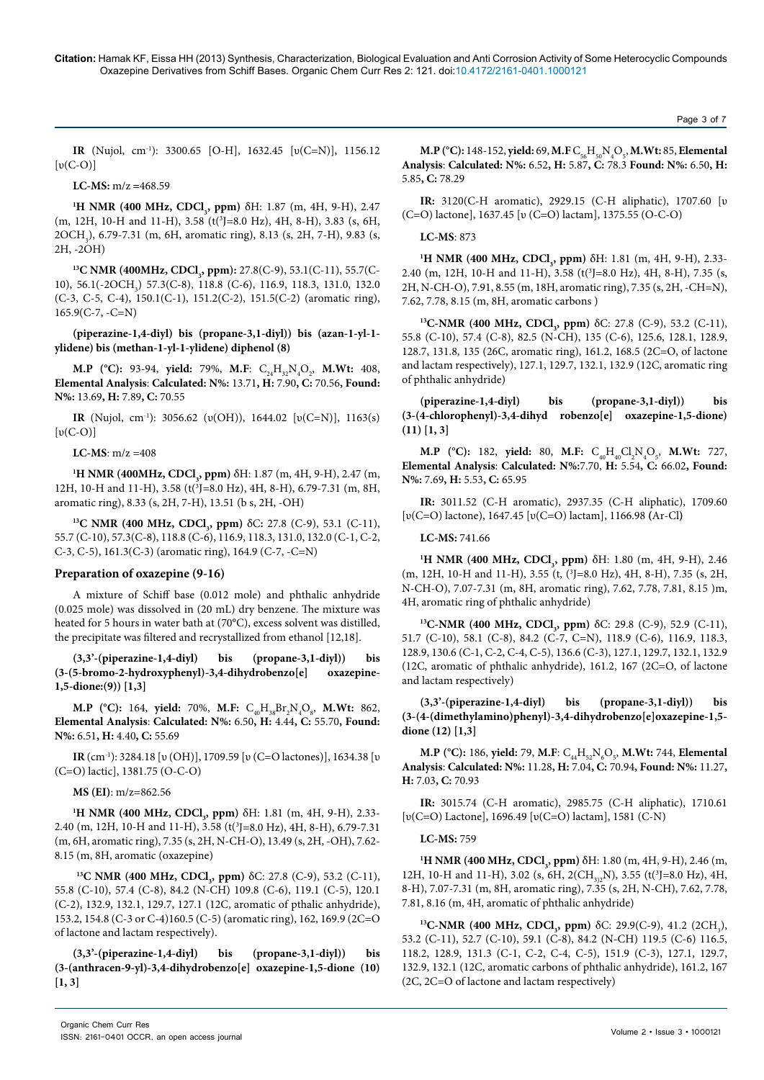#### Page 3 of 7

**IR** (Nujol, cm-1): 3300.65 [O-H], 1632.45 [υ(C=N)], 1156.12  $[v(C-O)]$ 

#### **LC-MS:** m/z **=**468.59

<sup>1</sup>**H** NMR (400 MHz, CDCl<sub>3</sub>, ppm) δH: 1.87 (m, 4H, 9-H), 2.47 (m, 12H, 10-H and 11-H), 3.58 (t(<sup>3</sup>J=8.0 Hz), 4H, 8-H), 3.83 (s, 6H, 2OCH<sub>3</sub>), 6.79-7.31 (m, 6H, aromatic ring), 8.13 (s, 2H, 7-H), 9.83 (s, 2H, -2OH)

<sup>13</sup>C NMR (400MHz, CDCl<sub>3</sub>, ppm): 27.8(C-9), 53.1(C-11), 55.7(C-10), 56.1(-2OCH<sub>3</sub>) 57.3(C-8), 118.8 (C-6), 116.9, 118.3, 131.0, 132.0 (C-3, C-5, C-4), 150.1(C-1), 151.2(C-2), 151.5(C-2) (aromatic ring), 165.9(C-7, -C=N)

## **(piperazine-1,4-diyl) bis (propane-3,1-diyl)) bis (azan-1-yl-1 ylidene) bis (methan-1-yl-1-ylidene) diphenol (8)**

**M.P** (°C): 93-94, **yield:** 79%, M.F:  $C_{24}H_{32}N_{4}O_{2}$ , M.Wt: 408, **Elemental Analysis**: **Calculated: N%:** 13.71**, H:** 7.90**, C:** 70.56**, Found: N%:** 13.69**, H:** 7.89**, C:** 70.55

**IR** (Nujol, cm-1): 3056.62 (υ(OH)), 1644.02 [υ(C=N)], 1163(s)  $[v(C-O)]$ 

#### **LC-MS**:  $m/z = 408$

**<sup>1</sup>H NMR (400MHz, CDCl<sub>3</sub>, ppm)** δH: 1.87 (m, 4H, 9-H), 2.47 (m, 12H, 10-H and 11-H), 3.58 (t(<sup>3</sup>J=8.0 Hz), 4H, 8-H), 6.79-7.31 (m, 8H, aromatic ring), 8.33 (s, 2H, 7-H), 13.51 (b s, 2H, -OH)

**13C NMR (400 MHz, CDCl<sub>3</sub>, ppm) δC:** 27.8 (C-9), 53.1 (C-11), 55.7 (C-10), 57.3(C-8), 118.8 (C-6), 116.9, 118.3, 131.0, 132.0 (C-1, C-2, C-3, C-5), 161.3(C-3) (aromatic ring), 164.9 (C-7, -C=N)

#### **Preparation of oxazepine (9-16)**

A mixture of Schiff base (0.012 mole) and phthalic anhydride (0.025 mole) was dissolved in (20 mL) dry benzene. The mixture was heated for 5 hours in water bath at (70°C), excess solvent was distilled, the precipitate was filtered and recrystallized from ethanol [12,18].

**(3,3'-(piperazine-1,4-diyl) bis (propane-3,1-diyl)) bis (3-(5-bromo-2-hydroxyphenyl)-3,4-dihydrobenzo[e] oxazepine-1,5-dione:(9)) [1,3]**

**M.P** (°C): 164, **yield:** 70%, **M.F:**  $C_{40}H_{38}Br_2N_4O_8$ , **M.Wt:** 862, **Elemental Analysis**: **Calculated: N%:** 6.50**, H:** 4.44**, C:** 55.70**, Found: N%:** 6.51**, H:** 4.40**, C:** 55.69

**IR** (cm-1): 3284.18 [υ (OH)], 1709.59 [υ (C=O lactones)], 1634.38 [υ (C=O) lactic], 1381.75 (O-C-O)

**MS (EI)**: m/z=862.56

<sup>1</sup>**H** NMR (400 MHz, CDCl<sub>3</sub>, ppm) δH: 1.81 (m, 4H, 9-H), 2.33-2.40 (m, 12H, 10-H and 11-H), 3.58 (t(<sup>3</sup>J=8.0 Hz), 4H, 8-H), 6.79-7.31 (m, 6H, aromatic ring), 7.35 (s, 2H, N-CH-O), 13.49 (s, 2H, -OH), 7.62- 8.15 (m, 8H, aromatic (oxazepine)

**<sup>13</sup>C NMR (400 MHz, CDCl<sub>3</sub>, ppm) δC: 27.8 (C-9), 53.2 (C-11),** 55.8 (C-10), 57.4 (C-8), 84.2 (N-CH) 109.8 (C-6), 119.1 (C-5), 120.1 (C-2), 132.9, 132.1, 129.7, 127.1 (12C, aromatic of pthalic anhydride), 153.2, 154.8 (C-3 or C-4)160.5 (C-5) (aromatic ring), 162, 169.9 (2C=O of lactone and lactam respectively).

**(3,3'-(piperazine-1,4-diyl) bis (propane-3,1-diyl)) bis (3-(anthracen-9-yl)-3,4-dihydrobenzo[e] oxazepine-1,5-dione (10) [1, 3]**

**M.P** (°C): 148-152, **yield:** 69, **M.F**  $C_{56}H_{50}N_4O_5$ , **M.Wt:** 85, **Elemental Analysis**: **Calculated: N%:** 6.52**, H:** 5.87**, C:** 78.3 **Found: N%:** 6.50**, H:** 5.85**, C:** 78.29

**IR:** 3120(C-H aromatic), 2929.15 (C-H aliphatic), 1707.60 [υ (C=O) lactone], 1637.45 [υ (C=O) lactam], 1375.55 (O-C-O)

## **LC-MS**: 873

<sup>1</sup>**H** NMR (400 MHz, CDCl<sub>3</sub>, ppm) δH: 1.81 (m, 4H, 9-H), 2.33-2.40 (m, 12H, 10-H and 11-H), 3.58 (t(<sup>3</sup>J=8.0 Hz), 4H, 8-H), 7.35 (s, 2H, N-CH-O), 7.91, 8.55 (m, 18H, aromatic ring), 7.35 (s, 2H, -CH=N), 7.62, 7.78, 8.15 (m, 8H, aromatic carbons )

**13C-NMR (400 MHz, CDCl<sub>3</sub>, ppm)** δC: 27.8 (C-9), 53.2 (C-11), 55.8 (C-10), 57.4 (C-8), 82.5 (N-CH), 135 (C-6), 125.6, 128.1, 128.9, 128.7, 131.8, 135 (26C, aromatic ring), 161.2, 168.5 (2C=O, of lactone and lactam respectively), 127.1, 129.7, 132.1, 132.9 (12C, aromatic ring of phthalic anhydride)

**(piperazine-1,4-diyl) bis (propane-3,1-diyl)) bis (3-(4-chlorophenyl)-3,4-dihyd robenzo[e] oxazepine-1,5-dione) (11) [1, 3]**

**M.P** (°C): 182, **yield:** 80, M.F:  $C_{40}H_{40}Cl_2N_4O_5$ , M.Wt: 727, **Elemental Analysis**: **Calculated: N%:**7.70, **H:** 5.54**, C:** 66.02**, Found: N%:** 7.69**, H:** 5.53**, C:** 65.95

**IR:** 3011.52 (C-H aromatic), 2937.35 (C-H aliphatic), 1709.60 [υ(C=O) lactone), 1647.45 [υ(C=O) lactam], 1166.98 **(**Ar-Cl**)**

#### **LC-MS:** 741.66

<sup>1</sup>**H** NMR (400 MHz, CDCl<sub>3</sub>, ppm) δH: 1.80 (m, 4H, 9-H), 2.46 (m, 12H, 10-H and 11-H), 3.55 (t, (3 J=8.0 Hz), 4H, 8-H), 7.35 (s, 2H, N-CH-O), 7.07-7.31 (m, 8H, aromatic ring), 7.62, 7.78, 7.81, 8.15 )m, 4H, aromatic ring of phthalic anhydride)

**13C-NMR (400 MHz, CDCl<sub>3</sub>, ppm)** δC: 29.8 (C-9), 52.9 (C-11), 51.7 (C-10), 58.1 (C-8), 84.2 (C-7, C=N), 118.9 (C-6), 116.9, 118.3, 128.9, 130.6 (C-1, C-2, C-4, C-5), 136.6 (C-3), 127.1, 129.7, 132.1, 132.9 (12C, aromatic of phthalic anhydride), 161.2, 167 (2C=O, of lactone and lactam respectively)

**(3,3'-(piperazine-1,4-diyl) bis (propane-3,1-diyl)) bis (3-(4-(dimethylamino)phenyl)-3,4-dihydrobenzo[e]oxazepine-1,5 dione (12) [1,3]**

**M.P** (°C): 186, **yield:** 79, M.F:  $C_{44}H_{52}N_{6}O_{5}$ , M.Wt: 744, Elemental **Analysis**: **Calculated: N%:** 11.28**, H:** 7.04**, C:** 70.94**, Found: N%:** 11.27**, H:** 7.03**, C:** 70.93

**IR:** 3015.74 (C-H aromatic), 2985.75 (C-H aliphatic), 1710.61 [υ(C=O) Lactone], 1696.49 [υ(C=O) lactam], 1581 (C-N)

#### **LC-MS:** 759

**<sup>1</sup>H NMR (400 MHz, CDCl<sub>3</sub>, ppm)** δH: 1.80 (m, 4H, 9-H), 2.46 (m, 12H, 10-H and 11-H), 3.02 (s, 6H, 2( $CH_{3/2}N$ ), 3.55 (t(<sup>3</sup>J=8.0 Hz), 4H, 8-H), 7.07-7.31 (m, 8H, aromatic ring), 7.35 (s, 2H, N-CH), 7.62, 7.78, 7.81, 8.16 (m, 4H, aromatic of phthalic anhydride)

**13C-NMR (400 MHz, CDCl<sub>3</sub>, ppm) δC: 29.9(C-9), 41.2 (2CH<sub>3</sub>),** 53.2 (C-11), 52.7 (C-10), 59.1 (C-8), 84.2 (N-CH) 119.5 (C-6) 116.5, 118.2, 128.9, 131.3 (C-1, C-2, C-4, C-5), 151.9 (C-3), 127.1, 129.7, 132.9, 132.1 (12C, aromatic carbons of phthalic anhydride), 161.2, 167 (2C, 2C=O of lactone and lactam respectively)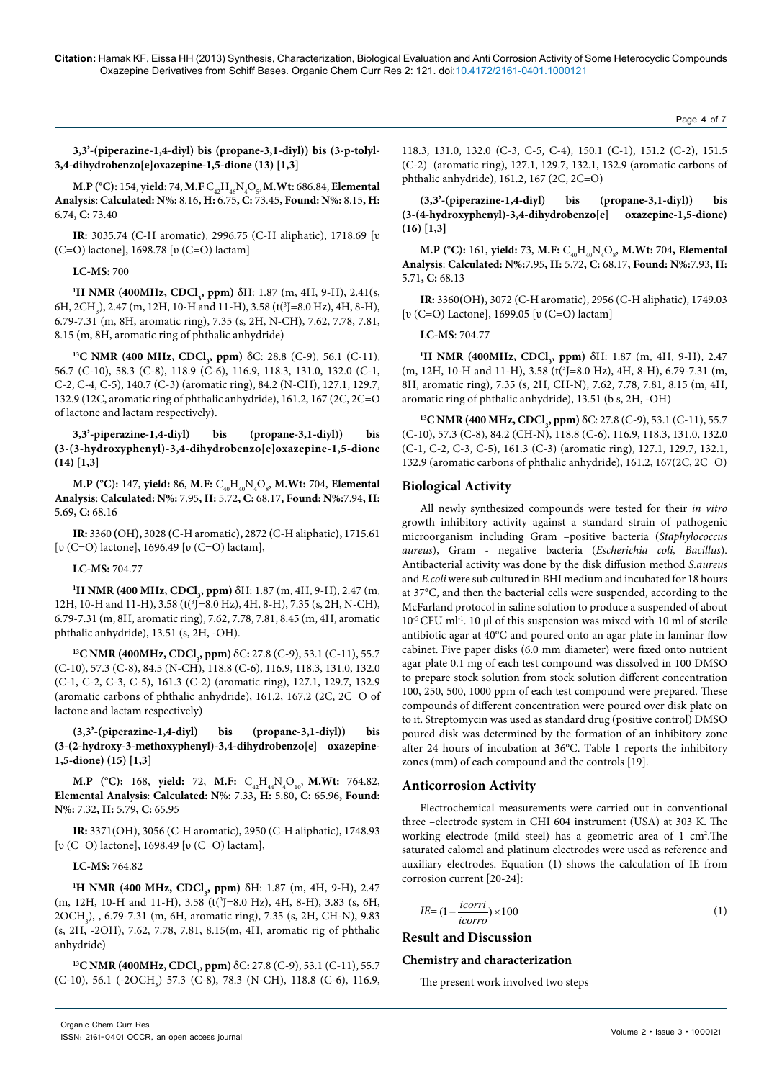**3,3'-(piperazine-1,4-diyl) bis (propane-3,1-diyl)) bis (3-p-tolyl-3,4-dihydrobenzo[e]oxazepine-1,5-dione (13) [1,3]**

**M.P** (°C): 154, **yield:** 74, M.F  $C_{42}H_{46}N_4O_{5}$ , M.Wt: 686.84, Elemental **Analysis**: **Calculated: N%:** 8.16**, H:** 6.75**, C:** 73.45**, Found: N%:** 8.15**, H:** 6.74**, C:** 73.40

**IR:** 3035.74 (C-H aromatic), 2996.75 (C-H aliphatic), 1718.69 [υ (C=O) lactone], 1698.78 [υ (C=O) lactam]

## **LC-MS:** 700

<sup>1</sup>**H** NMR (400MHz, CDCl<sub>3</sub>, ppm) δH: 1.87 (m, 4H, 9-H), 2.41(s,  $6H, 2CH_3$ ), 2.47 (m, 12H, 10-H and 11-H), 3.58 (t(<sup>3</sup>J=8.0 Hz), 4H, 8-H), 6.79-7.31 (m, 8H, aromatic ring), 7.35 (s, 2H, N-CH), 7.62, 7.78, 7.81, 8.15 (m, 8H, aromatic ring of phthalic anhydride)

**13C NMR (400 MHz, CDCl<sub>3</sub>, ppm) δC: 28.8 (C-9), 56.1 (C-11),** 56.7 (C-10), 58.3 (C-8), 118.9 (C-6), 116.9, 118.3, 131.0, 132.0 (C-1, C-2, C-4, C-5), 140.7 (C-3) (aromatic ring), 84.2 (N-CH), 127.1, 129.7, 132.9 (12C, aromatic ring of phthalic anhydride), 161.2, 167 (2C, 2C=O of lactone and lactam respectively).

**3,3'-piperazine-1,4-diyl) bis (propane-3,1-diyl)) bis (3-(3-hydroxyphenyl)-3,4-dihydrobenzo[e]oxazepine-1,5-dione (14) [1,3]**

**M.P** (°C): 147, **yield:** 86, M.F:  $C_{_{40}}H_{_{40}}N_{_{4}}O_{_{8}},$  M.Wt: 704, Elemental **Analysis**: **Calculated: N%:** 7.95**, H:** 5.72**, C:** 68.17**, Found: N%:**7.94**, H:** 5.69**, C:** 68.16

**IR:** 3360 **(**OH**),** 3028 **(**C-H aromatic**),** 2872 **(**C-H aliphatic**),** 1715.61 [υ (C=O) lactone], 1696.49 [υ (C=O) lactam],

## **LC-MS:** 704.77

**<sup>1</sup>H NMR (400 MHz, CDCl<sub>3</sub>, ppm)** δH: 1.87 (m, 4H, 9-H), 2.47 (m, 12H, 10-H and 11-H), 3.58 (t<sup>3</sup>]=8.0 Hz), 4H, 8-H), 7.35 (s, 2H, N-CH), 6.79-7.31 (m, 8H, aromatic ring), 7.62, 7.78, 7.81, 8.45 (m, 4H, aromatic phthalic anhydride), 13.51 (s, 2H, -OH).

**13C NMR (400MHz, CDCl<sub>3</sub>, ppm) δC: 27.8 (C-9), 53.1 (C-11), 55.7** (C-10), 57.3 (C-8), 84.5 (N-CH), 118.8 (C-6), 116.9, 118.3, 131.0, 132.0 (C-1, C-2, C-3, C-5), 161.3 (C-2) (aromatic ring), 127.1, 129.7, 132.9 (aromatic carbons of phthalic anhydride), 161.2, 167.2 (2C, 2C=O of lactone and lactam respectively)

**(3,3'-(piperazine-1,4-diyl) bis (propane-3,1-diyl)) bis (3-(2-hydroxy-3-methoxyphenyl)-3,4-dihydrobenzo[e] oxazepine-1,5-dione) (15) [1,3]**

**M.P** (°C): 168, **yield:** 72, M.F:  $C_{42}H_{44}N_{4}O_{10}$ , M.Wt: 764.82, **Elemental Analysis**: **Calculated: N%:** 7.33**, H:** 5.80**, C:** 65.96**, Found: N%:** 7.32**, H:** 5.79**, C:** 65.95

**IR:** 3371(OH), 3056 (C-H aromatic), 2950 (C-H aliphatic), 1748.93 [υ (C=O) lactone], 1698.49 [υ (C=O) lactam],

## **LC-MS:** 764.82

<sup>1</sup>**H** NMR (400 MHz, CDCl<sub>3</sub>, ppm) δH: 1.87 (m, 4H, 9-H), 2.47 (m, 12H, 10-H and 11-H), 3.58 (t(<sup>3</sup>J=8.0 Hz), 4H, 8-H), 3.83 (s, 6H, 2OCH<sub>3</sub>), , 6.79-7.31 (m, 6H, aromatic ring), 7.35 (s, 2H, CH-N), 9.83 (s, 2H, -2OH), 7.62, 7.78, 7.81, 8.15(m, 4H, aromatic rig of phthalic anhydride)

**13C NMR (400MHz, CDCl<sub>3</sub>, ppm) δC: 27.8 (C-9), 53.1 (C-11), 55.7** (C-10), 56.1 (-2OCH<sub>3</sub>) 57.3 (C-8), 78.3 (N-CH), 118.8 (C-6), 116.9,

118.3, 131.0, 132.0 (C-3, C-5, C-4), 150.1 (C-1), 151.2 (C-2), 151.5 (C-2) (aromatic ring), 127.1, 129.7, 132.1, 132.9 (aromatic carbons of phthalic anhydride), 161.2, 167 (2C, 2C=O)

**(3,3'-(piperazine-1,4-diyl) bis (propane-3,1-diyl)) bis (3-(4-hydroxyphenyl)-3,4-dihydrobenzo[e] oxazepine-1,5-dione) (16) [1,3]**

**M.P** (°C): 161, **yield:** 73, M.F:  $C_{40}H_{40}N_{4}O_{8}$ , M.Wt: 704, Elemental **Analysis**: **Calculated: N%:**7.95**, H:** 5.72**, C:** 68.17**, Found: N%:**7.93**, H:** 5.71**, C:** 68.13

**IR:** 3360**(**OH**),** 3072 (C-H aromatic), 2956 (C-H aliphatic), 1749.03 [υ (C=O) Lactone], 1699.05 [υ (C=O) lactam]

## **LC-MS**: 704.77

<sup>1</sup>**H** NMR (400MHz, CDCl<sub>3</sub>, ppm) δH: 1.87 (m, 4H, 9-H), 2.47 (m, 12H, 10-H and 11-H), 3.58 (t(<sup>3</sup>J=8.0 Hz), 4H, 8-H), 6.79-7.31 (m, 8H, aromatic ring), 7.35 (s, 2H, CH-N), 7.62, 7.78, 7.81, 8.15 (m, 4H, aromatic ring of phthalic anhydride), 13.51 (b s, 2H, -OH)

**13C NMR (400 MHz, CDCl<sub>3</sub>, ppm) δ**C: 27.8 (C-9), 53.1 (C-11), 55.7 (C-10), 57.3 (C-8), 84.2 (CH-N), 118.8 (C-6), 116.9, 118.3, 131.0, 132.0 (C-1, C-2, C-3, C-5), 161.3 (C-3) (aromatic ring), 127.1, 129.7, 132.1, 132.9 (aromatic carbons of phthalic anhydride), 161.2, 167(2C, 2C=O)

## **Biological Activity**

All newly synthesized compounds were tested for their *in vitro* growth inhibitory activity against a standard strain of pathogenic microorganism including Gram –positive bacteria (*Staphylococcus aureus*), Gram - negative bacteria (*Escherichia coli, Bacillus*). Antibacterial activity was done by the disk diffusion method *S.aureus*  and *E.coli* were sub cultured in BHI medium and incubated for 18 hours at 37°C, and then the bacterial cells were suspended, according to the McFarland protocol in saline solution to produce a suspended of about 10-5 CFU ml-1. 10 µl of this suspension was mixed with 10 ml of sterile antibiotic agar at 40°C and poured onto an agar plate in laminar flow cabinet. Five paper disks (6.0 mm diameter) were fixed onto nutrient agar plate 0.1 mg of each test compound was dissolved in 100 DMSO to prepare stock solution from stock solution different concentration 100, 250, 500, 1000 ppm of each test compound were prepared. These compounds of different concentration were poured over disk plate on to it. Streptomycin was used as standard drug (positive control) DMSO poured disk was determined by the formation of an inhibitory zone after 24 hours of incubation at 36°C. Table 1 reports the inhibitory zones (mm) of each compound and the controls [19].

#### **Anticorrosion Activity**

Electrochemical measurements were carried out in conventional three –electrode system in CHI 604 instrument (USA) at 303 K. The working electrode (mild steel) has a geometric area of 1 cm<sup>2</sup>. The saturated calomel and platinum electrodes were used as reference and auxiliary electrodes. Equation (1) shows the calculation of IE from corrosion current [20-24]:

$$
IE = (1 - \frac{icorr}{icorro}) \times 100\tag{1}
$$

# **Result and Discussion**

## **Chemistry and characterization**

The present work involved two steps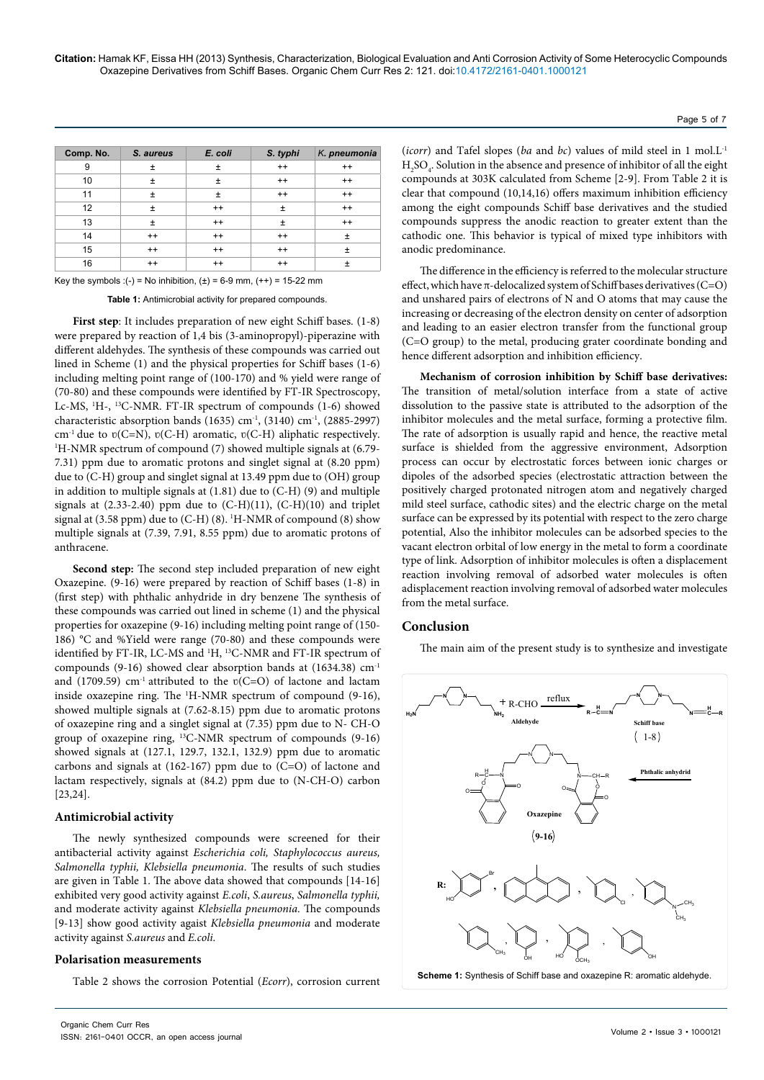| Comp. No. | S. aureus | E. coli | S. typhi | K. pneumonia |
|-----------|-----------|---------|----------|--------------|
| 9         | Ŧ         | Ŧ       | $++$     | $++$         |
| 10        | Ŧ         | Ŧ       | $++$     | $++$         |
| 11        | Ŧ         | $\pm$   | $++$     | $++$         |
| 12        | Ŧ         | $++$    | Ŧ        | $++$         |
| 13        | $\ddot{}$ | $++$    | Ŧ        | $++$         |
| 14        | $++$      | $++$    | $++$     | ±            |
| 15        | $++$      | $++$    | $++$     | $\pm$        |
| 16        | $++$      | $^{++}$ | $++$     | $\ddot{}$    |

Key the symbols :(-) = No inhibition,  $(\pm)$  = 6-9 mm,  $(++)$  = 15-22 mm

**Table 1:** Antimicrobial activity for prepared compounds.

First step: It includes preparation of new eight Schiff bases.  $(1-8)$ were prepared by reaction of 1,4 bis (3-aminopropyl)-piperazine with different aldehydes. The synthesis of these compounds was carried out lined in Scheme (1) and the physical properties for Schiff bases (1-6) including melting point range of (100-170) and % yield were range of (70-80) and these compounds were identified by FT-IR Spectroscopy, Lc-MS, <sup>1</sup>H-, <sup>13</sup>C-NMR. FT-IR spectrum of compounds (1-6) showed characteristic absorption bands (1635) cm<sup>-1</sup>, (3140) cm<sup>-1</sup>, (2885-2997) cm<sup>-1</sup> due to  $v(C=N)$ ,  $v(C-H)$  aromatic,  $v(C-H)$  aliphatic respectively. <sup>1</sup>H-NMR spectrum of compound (7) showed multiple signals at (6.79-7.31) ppm due to aromatic protons and singlet signal at (8.20 ppm) due to (C-H) group and singlet signal at 13.49 ppm due to (OH) group in addition to multiple signals at (1.81) due to (C-H) (9) and multiple signals at (2.33-2.40) ppm due to (C-H)(11), (C-H)(10) and triplet signal at (3.58 ppm) due to (C-H) (8). 1 H-NMR of compound (8) show multiple signals at (7.39, 7.91, 8.55 ppm) due to aromatic protons of anthracene.

**Second step:** The second step included preparation of new eight Oxazepine. (9-16) were prepared by reaction of Schiff bases (1-8) in (first step) with phthalic anhydride in dry benzene The synthesis of these compounds was carried out lined in scheme (1) and the physical properties for oxazepine (9-16) including melting point range of (150- 186) °C and %Yield were range (70-80) and these compounds were identified by FT-IR, LC-MS and <sup>1</sup>H, <sup>13</sup>C-NMR and FT-IR spectrum of compounds (9-16) showed clear absorption bands at (1634.38) cm-1 and (1709.59)  $cm^{-1}$  attributed to the  $v(C=O)$  of lactone and lactam inside oxazepine ring. The 1 H-NMR spectrum of compound (9-16), showed multiple signals at (7.62-8.15) ppm due to aromatic protons of oxazepine ring and a singlet signal at (7.35) ppm due to N- CH-O group of oxazepine ring, 13C-NMR spectrum of compounds (9-16) showed signals at (127.1, 129.7, 132.1, 132.9) ppm due to aromatic carbons and signals at (162-167) ppm due to (C=O) of lactone and lactam respectively, signals at (84.2) ppm due to (N-CH-O) carbon [23,24].

#### **Antimicrobial activity**

The newly synthesized compounds were screened for their antibacterial activity against *Escherichia coli, Staphylococcus aureus, Salmonella typhii, Klebsiella pneumonia*. The results of such studies are given in Table 1. The above data showed that compounds [14-16] exhibited very good activity against *E.coli*, *S.aureus*, *Salmonella typhii,*  and moderate activity against *Klebsiella pneumonia*. The compounds [9-13] show good activity agaist *Klebsiella pneumonia* and moderate activity against *S.aureus* and *E.coli*.

#### **Polarisation measurements**

Table 2 shows the corrosion Potential (*Ecorr*), corrosion current

(*icorr*) and Tafel slopes (*ba* and *bc*) values of mild steel in 1 mol.L-1  $\rm{H_2SO_4}$  . Solution in the absence and presence of inhibitor of all the eight compounds at 303K calculated from Scheme [2-9]. From Table 2 it is clear that compound (10,14,16) offers maximum inhibition efficiency among the eight compounds Schiff base derivatives and the studied compounds suppress the anodic reaction to greater extent than the cathodic one. This behavior is typical of mixed type inhibitors with anodic predominance.

The difference in the efficiency is referred to the molecular structure effect, which have  $\pi$ -delocalized system of Schiff bases derivatives (C=O) and unshared pairs of electrons of N and O atoms that may cause the increasing or decreasing of the electron density on center of adsorption and leading to an easier electron transfer from the functional group (C=O group) to the metal, producing grater coordinate bonding and hence different adsorption and inhibition efficiency.

**Mechanism of corrosion inhibition by Schiff base derivatives:**  The transition of metal/solution interface from a state of active dissolution to the passive state is attributed to the adsorption of the inhibitor molecules and the metal surface, forming a protective film. The rate of adsorption is usually rapid and hence, the reactive metal surface is shielded from the aggressive environment, Adsorption process can occur by electrostatic forces between ionic charges or dipoles of the adsorbed species (electrostatic attraction between the positively charged protonated nitrogen atom and negatively charged mild steel surface, cathodic sites) and the electric charge on the metal surface can be expressed by its potential with respect to the zero charge potential, Also the inhibitor molecules can be adsorbed species to the vacant electron orbital of low energy in the metal to form a coordinate type of link. Adsorption of inhibitor molecules is often a displacement reaction involving removal of adsorbed water molecules is often adisplacement reaction involving removal of adsorbed water molecules from the metal surface.

## **Conclusion**

The main aim of the present study is to synthesize and investigate



Page 5 of 7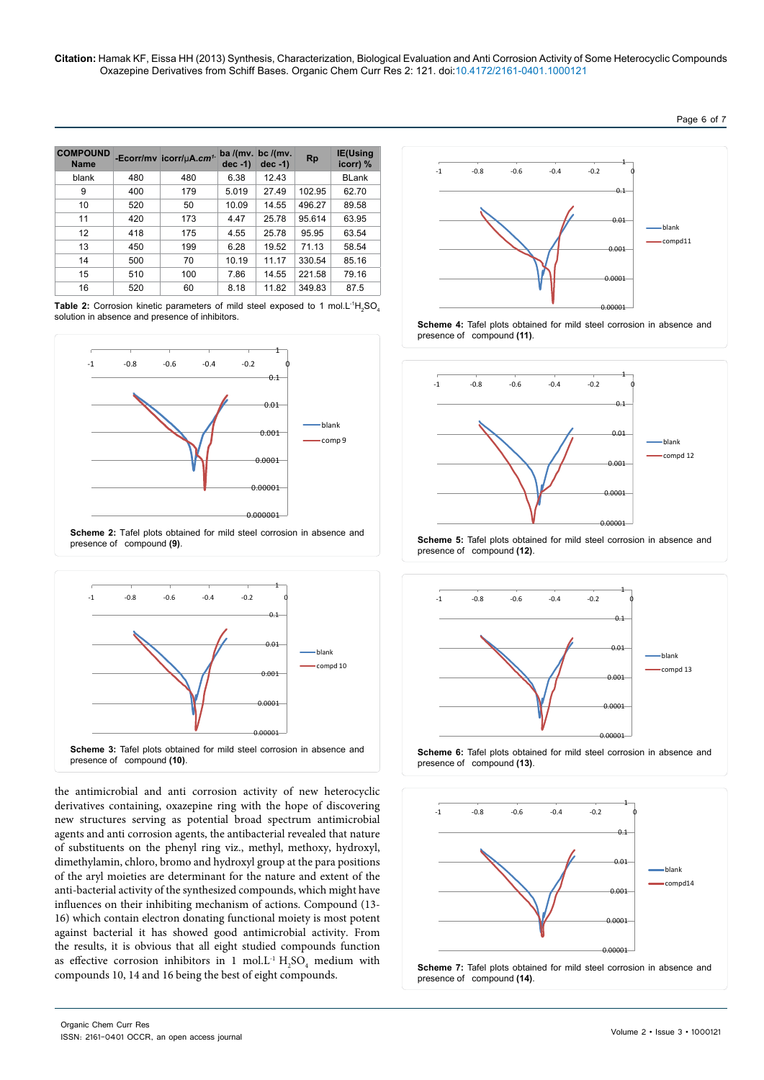| ⊐ane | n | w |  |
|------|---|---|--|
|------|---|---|--|

| <b>COMPOUND</b><br><b>Name</b> |     | -Ecorr/mv icorr/µA.cm <sup>1-</sup> | $dec -1)$ | ba /(mv. bc /(mv.<br>$dec -1)$ | <b>Rp</b> | <b>IE(Using</b><br>icorr) % |
|--------------------------------|-----|-------------------------------------|-----------|--------------------------------|-----------|-----------------------------|
| blank                          | 480 | 480                                 | 6.38      | 12.43                          |           | <b>BLank</b>                |
| 9                              | 400 | 179                                 | 5.019     | 27.49                          | 102.95    | 62.70                       |
| 10                             | 520 | 50                                  | 10.09     | 14.55                          | 496.27    | 89.58                       |
| 11                             | 420 | 173                                 | 4.47      | 25.78                          | 95.614    | 63.95                       |
| 12                             | 418 | 175                                 | 4.55      | 25.78                          | 95.95     | 63.54                       |
| 13                             | 450 | 199                                 | 6.28      | 19.52                          | 71.13     | 58.54                       |
| 14                             | 500 | 70                                  | 10.19     | 11.17                          | 330.54    | 85.16                       |
| 15                             | 510 | 100                                 | 7.86      | 14.55                          | 221.58    | 79.16                       |
| 16                             | 520 | 60                                  | 8.18      | 11.82                          | 349.83    | 87.5                        |

**Table 2:** Corrosion kinetic parameters of mild steel exposed to 1 mol.L<sup>-1</sup>H<sub>2</sub>SO<sub>4</sub> solution in absence and presence of inhibitors.







the antimicrobial and anti corrosion activity of new heterocyclic derivatives containing, oxazepine ring with the hope of discovering new structures serving as potential broad spectrum antimicrobial agents and anti corrosion agents, the antibacterial revealed that nature of substituents on the phenyl ring viz., methyl, methoxy, hydroxyl, dimethylamin, chloro, bromo and hydroxyl group at the para positions of the aryl moieties are determinant for the nature and extent of the anti-bacterial activity of the synthesized compounds, which might have influences on their inhibiting mechanism of actions. Compound (13- 16) which contain electron donating functional moiety is most potent against bacterial it has showed good antimicrobial activity. From the results, it is obvious that all eight studied compounds function as effective corrosion inhibitors in 1 mol. L<sup>-1</sup>  $H_2SO_4$  medium with compounds 10, 14 and 16 being the best of eight compounds.



**Scheme 4:** Tafel plots obtained for mild steel corrosion in absence and presence of compound **(11)**.



presence of compound **(12)**.